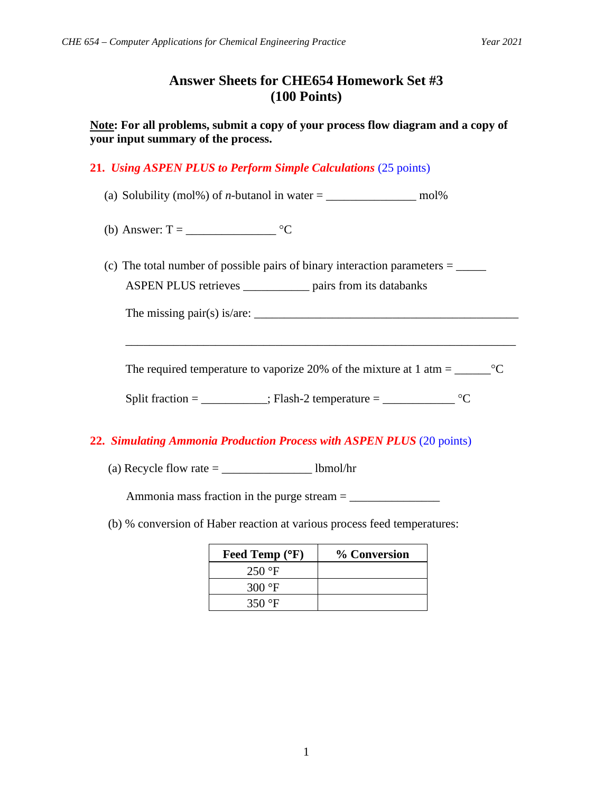## **Answer Sheets for CHE654 Homework Set #3 (100 Points)**

**Note: For all problems, submit a copy of your process flow diagram and a copy of your input summary of the process.**

**21.** *Using ASPEN PLUS to Perform Simple Calculations* (25 points)

- (a) Solubility (mol%) of *n*-butanol in water  $=$  \_\_\_\_\_\_\_\_\_\_\_\_\_\_\_\_\_\_\_ mol%
- (b) Answer:  $T = \underline{\hspace{2cm}} \underline{\hspace{2cm}} ^{\circ}C$
- (c) The total number of possible pairs of binary interaction parameters = \_\_\_\_\_ ASPEN PLUS retrieves \_\_\_\_\_\_\_\_\_\_\_ pairs from its databanks

The missing pair(s) is/are:  $\frac{1}{2}$   $\frac{1}{2}$   $\frac{1}{2}$   $\frac{1}{2}$   $\frac{1}{2}$   $\frac{1}{2}$   $\frac{1}{2}$   $\frac{1}{2}$   $\frac{1}{2}$   $\frac{1}{2}$   $\frac{1}{2}$   $\frac{1}{2}$   $\frac{1}{2}$   $\frac{1}{2}$   $\frac{1}{2}$   $\frac{1}{2}$   $\frac{1}{2}$   $\frac{1}{2}$   $\frac{1}{2}$   $\frac$ 

The required temperature to vaporize 20% of the mixture at 1 atm =  $\_\_\_\_C$ °C

\_\_\_\_\_\_\_\_\_\_\_\_\_\_\_\_\_\_\_\_\_\_\_\_\_\_\_\_\_\_\_\_\_\_\_\_\_\_\_\_\_\_\_\_\_\_\_\_\_\_\_\_\_\_\_\_\_\_\_\_\_\_\_\_\_

Split fraction = \_\_\_\_\_\_\_\_; Flash-2 temperature = \_\_\_\_\_\_\_\_\_\_\_  $^{\circ}C$ 

## **22.** *Simulating Ammonia Production Process with ASPEN PLUS* (20 points)

(a) Recycle flow rate  $=$  lbmol/hr

Ammonia mass fraction in the purge stream = \_\_\_\_\_\_\_\_\_\_\_\_\_\_\_

(b) % conversion of Haber reaction at various process feed temperatures:

| Feed Temp (°F)   | % Conversion |
|------------------|--------------|
| $250 \text{ °F}$ |              |
| 300 $\degree$ F  |              |
| 350 $\degree$ F  |              |